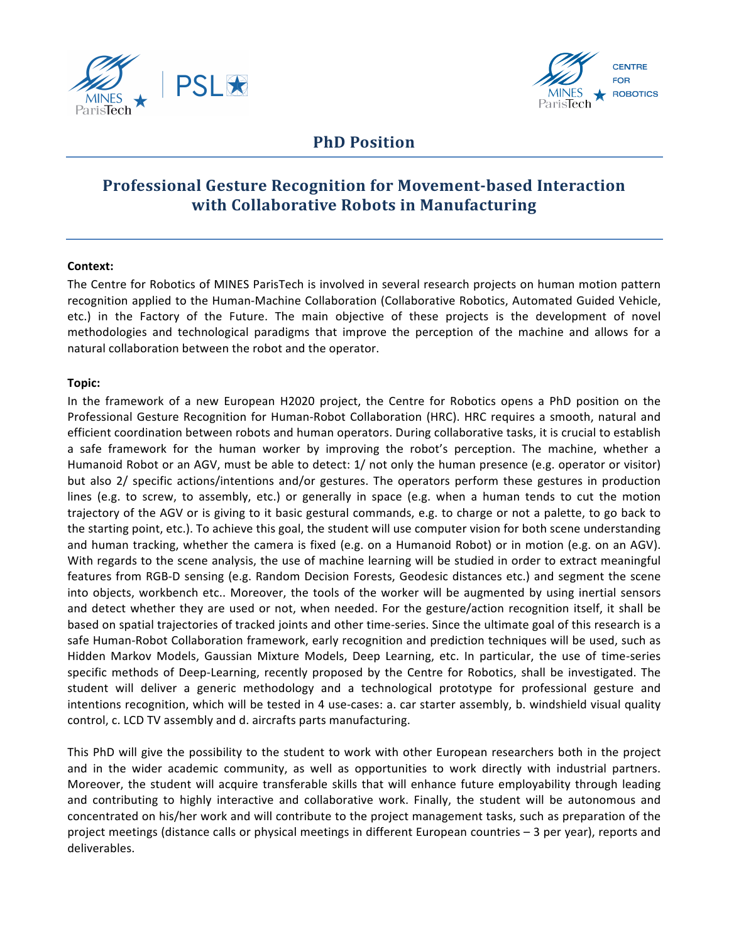



# **PhD** Position

# **Professional Gesture Recognition for Movement-based Interaction with Collaborative Robots in Manufacturing**

#### **Context:**

The Centre for Robotics of MINES ParisTech is involved in several research projects on human motion pattern recognition applied to the Human-Machine Collaboration (Collaborative Robotics, Automated Guided Vehicle, etc.) in the Factory of the Future. The main objective of these projects is the development of novel methodologies and technological paradigms that improve the perception of the machine and allows for a natural collaboration between the robot and the operator.

#### **Topic:**

In the framework of a new European H2020 project, the Centre for Robotics opens a PhD position on the Professional Gesture Recognition for Human-Robot Collaboration (HRC). HRC requires a smooth, natural and efficient coordination between robots and human operators. During collaborative tasks, it is crucial to establish a safe framework for the human worker by improving the robot's perception. The machine, whether a Humanoid Robot or an AGV, must be able to detect: 1/ not only the human presence (e.g. operator or visitor) but also 2/ specific actions/intentions and/or gestures. The operators perform these gestures in production lines (e.g. to screw, to assembly, etc.) or generally in space (e.g. when a human tends to cut the motion trajectory of the AGV or is giving to it basic gestural commands, e.g. to charge or not a palette, to go back to the starting point, etc.). To achieve this goal, the student will use computer vision for both scene understanding and human tracking, whether the camera is fixed (e.g. on a Humanoid Robot) or in motion (e.g. on an AGV). With regards to the scene analysis, the use of machine learning will be studied in order to extract meaningful features from RGB-D sensing (e.g. Random Decision Forests, Geodesic distances etc.) and segment the scene into objects, workbench etc.. Moreover, the tools of the worker will be augmented by using inertial sensors and detect whether they are used or not, when needed. For the gesture/action recognition itself, it shall be based on spatial trajectories of tracked joints and other time-series. Since the ultimate goal of this research is a safe Human-Robot Collaboration framework, early recognition and prediction techniques will be used, such as Hidden Markov Models, Gaussian Mixture Models, Deep Learning, etc. In particular, the use of time-series specific methods of Deep-Learning, recently proposed by the Centre for Robotics, shall be investigated. The student will deliver a generic methodology and a technological prototype for professional gesture and intentions recognition, which will be tested in 4 use-cases: a. car starter assembly, b. windshield visual quality control, c. LCD TV assembly and d. aircrafts parts manufacturing.

This PhD will give the possibility to the student to work with other European researchers both in the project and in the wider academic community, as well as opportunities to work directly with industrial partners. Moreover, the student will acquire transferable skills that will enhance future employability through leading and contributing to highly interactive and collaborative work. Finally, the student will be autonomous and concentrated on his/her work and will contribute to the project management tasks, such as preparation of the project meetings (distance calls or physical meetings in different European countries – 3 per year), reports and deliverables.